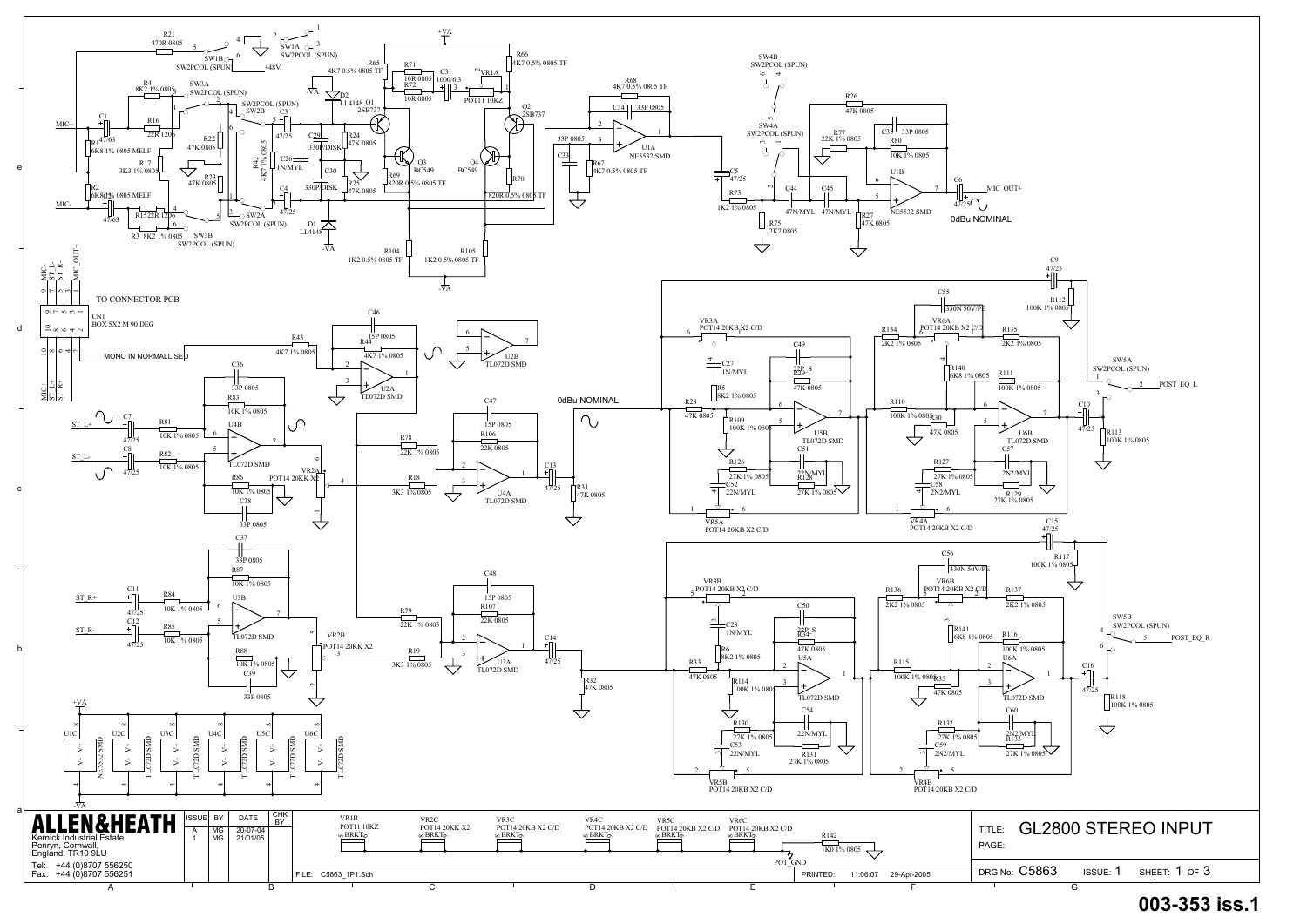

## **003-353 iss.1**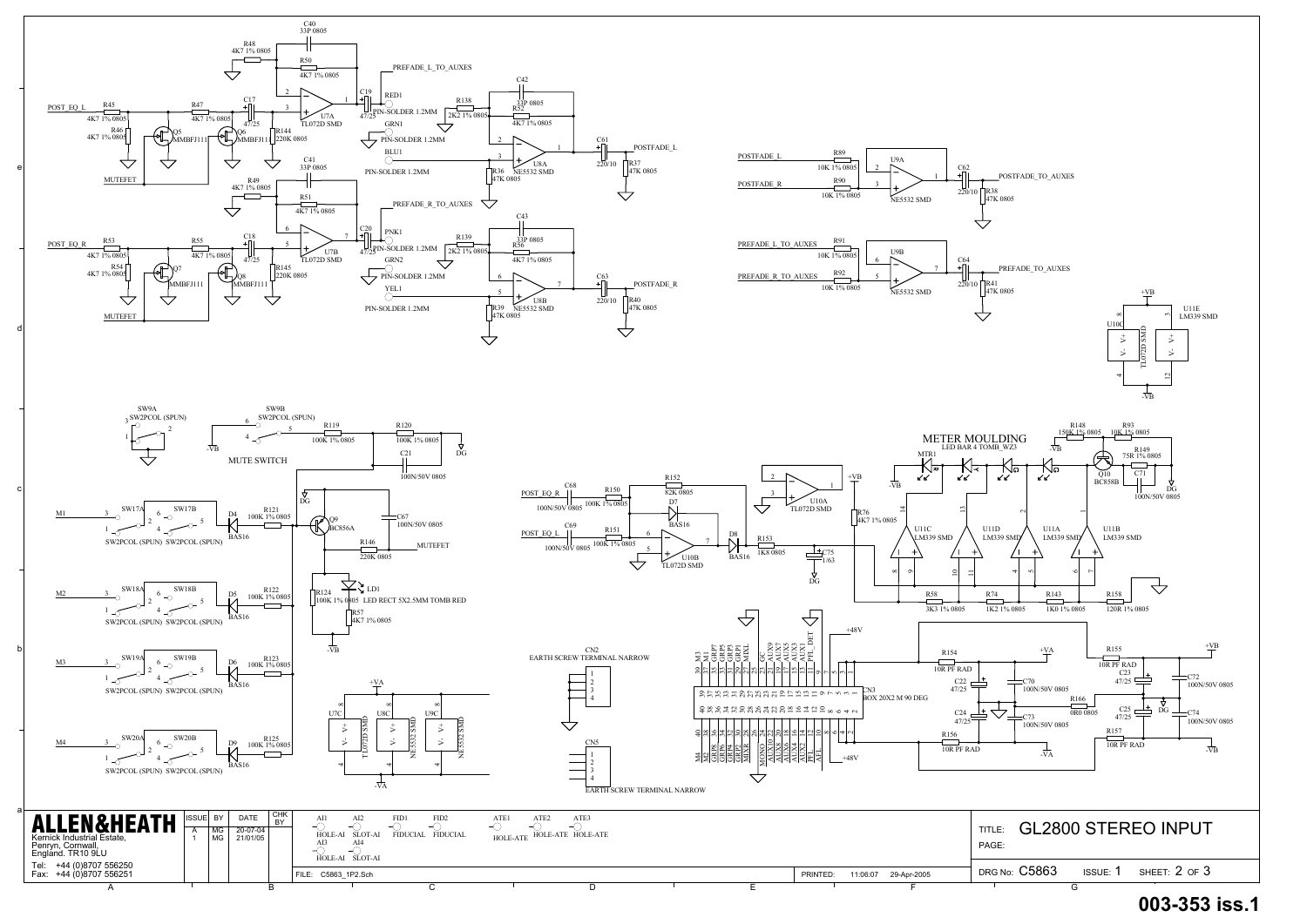a

b

c

d

e

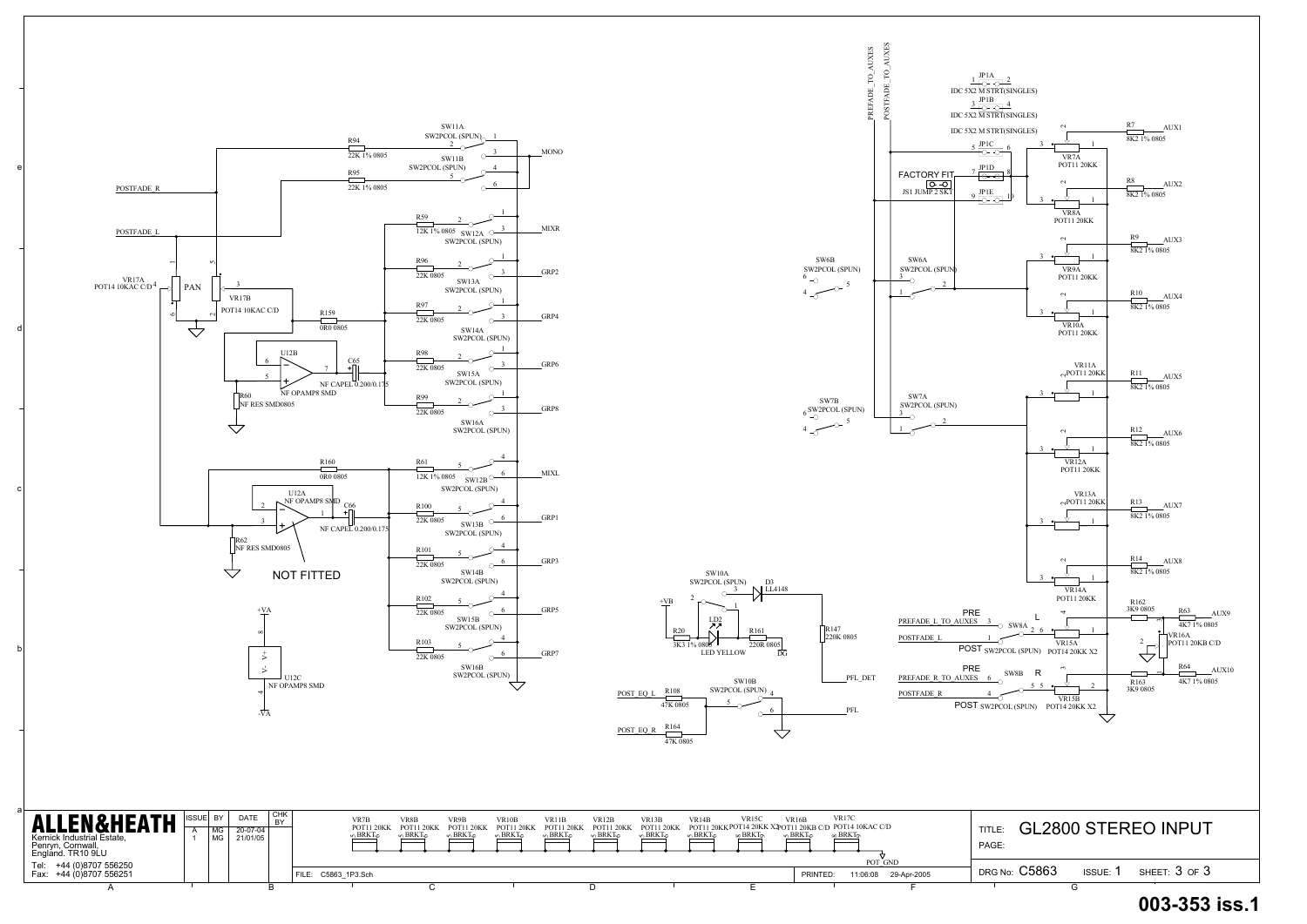a

b

c

d

e



**003-353 iss.1**